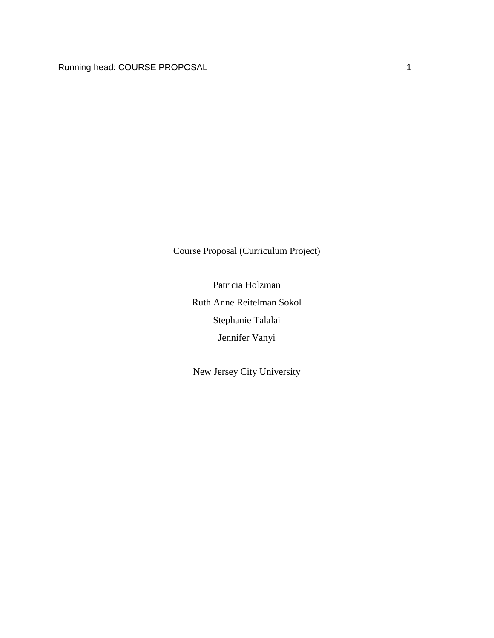Course Proposal (Curriculum Project)

Patricia Holzman Ruth Anne Reitelman Sokol Stephanie Talalai Jennifer Vanyi

New Jersey City University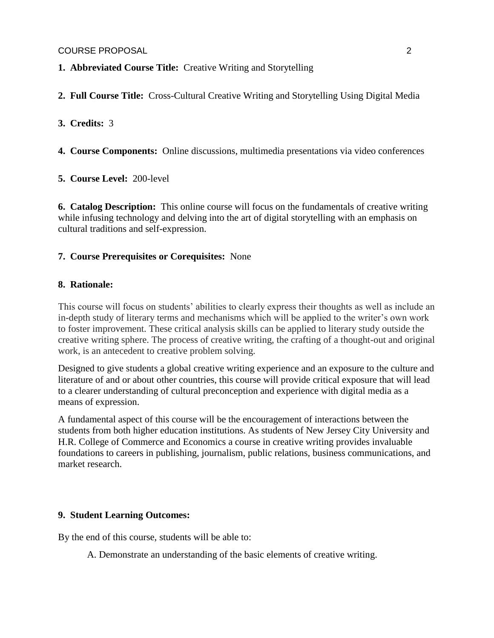COURSE PROPOSAL 2

**1. Abbreviated Course Title:** Creative Writing and Storytelling

**2. Full Course Title:** Cross-Cultural Creative Writing and Storytelling Using Digital Media

**3. Credits:** 3

**4. Course Components:** Online discussions, multimedia presentations via video conferences

**5. Course Level:** 200-level

**6. Catalog Description:** This online course will focus on the fundamentals of creative writing while infusing technology and delving into the art of digital storytelling with an emphasis on cultural traditions and self-expression.

### **7. Course Prerequisites or Corequisites:** None

### **8. Rationale:**

This course will focus on students' abilities to clearly express their thoughts as well as include an in-depth study of literary terms and mechanisms which will be applied to the writer's own work to foster improvement. These critical analysis skills can be applied to literary study outside the creative writing sphere. The process of creative writing, the crafting of a thought-out and original work, is an antecedent to creative problem solving.

Designed to give students a global creative writing experience and an exposure to the culture and literature of and or about other countries, this course will provide critical exposure that will lead to a clearer understanding of cultural preconception and experience with digital media as a means of expression.

A fundamental aspect of this course will be the encouragement of interactions between the students from both higher education institutions. As students of New Jersey City University and H.R. College of Commerce and Economics a course in creative writing provides invaluable foundations to careers in publishing, journalism, public relations, business communications, and market research.

### **9. Student Learning Outcomes:**

By the end of this course, students will be able to:

A. Demonstrate an understanding of the basic elements of creative writing.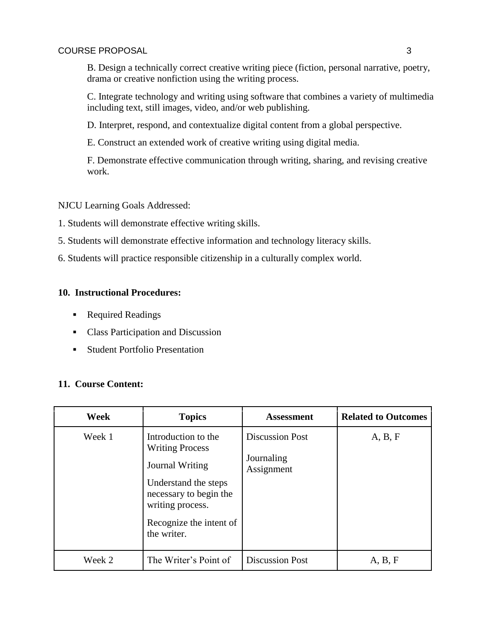B. Design a technically correct creative writing piece (fiction, personal narrative, poetry, drama or creative nonfiction using the writing process.

C. Integrate technology and writing using software that combines a variety of multimedia including text, still images, video, and/or web publishing.

D. Interpret, respond, and contextualize digital content from a global perspective.

E. Construct an extended work of creative writing using digital media.

F. Demonstrate effective communication through writing, sharing, and revising creative work.

NJCU Learning Goals Addressed:

1. Students will demonstrate effective writing skills.

- 5. Students will demonstrate effective information and technology literacy skills.
- 6. Students will practice responsible citizenship in a culturally complex world.

# **10. Instructional Procedures:**

- Required Readings
- Class Participation and Discussion
- **Student Portfolio Presentation**

# **11. Course Content:**

| Week   | <b>Topics</b>                                                                                                                                                                    | <b>Assessment</b>                                  | <b>Related to Outcomes</b> |
|--------|----------------------------------------------------------------------------------------------------------------------------------------------------------------------------------|----------------------------------------------------|----------------------------|
| Week 1 | Introduction to the<br><b>Writing Process</b><br>Journal Writing<br>Understand the steps<br>necessary to begin the<br>writing process.<br>Recognize the intent of<br>the writer. | <b>Discussion Post</b><br>Journaling<br>Assignment | A, B, F                    |
| Week 2 | The Writer's Point of                                                                                                                                                            | <b>Discussion Post</b>                             | A, B, F                    |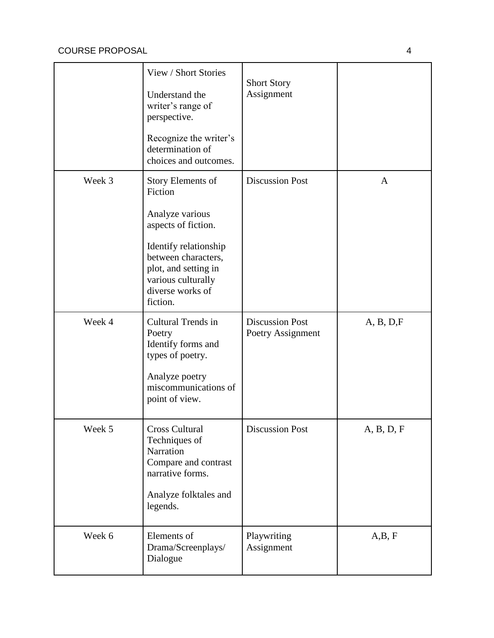|        | View / Short Stories<br>Understand the<br>writer's range of<br>perspective.<br>Recognize the writer's<br>determination of<br>choices and outcomes.                                                   | <b>Short Story</b><br>Assignment            |              |
|--------|------------------------------------------------------------------------------------------------------------------------------------------------------------------------------------------------------|---------------------------------------------|--------------|
| Week 3 | Story Elements of<br>Fiction<br>Analyze various<br>aspects of fiction.<br>Identify relationship<br>between characters,<br>plot, and setting in<br>various culturally<br>diverse works of<br>fiction. | <b>Discussion Post</b>                      | $\mathbf{A}$ |
| Week 4 | Cultural Trends in<br>Poetry<br>Identify forms and<br>types of poetry.<br>Analyze poetry<br>miscommunications of<br>point of view.                                                                   | <b>Discussion Post</b><br>Poetry Assignment | A, B, D, F   |
| Week 5 | <b>Cross Cultural</b><br>Techniques of<br>Narration<br>Compare and contrast<br>narrative forms.<br>Analyze folktales and<br>legends.                                                                 | <b>Discussion Post</b>                      | A, B, D, F   |
| Week 6 | Elements of<br>Drama/Screenplays/<br>Dialogue                                                                                                                                                        | Playwriting<br>Assignment                   | A,B, F       |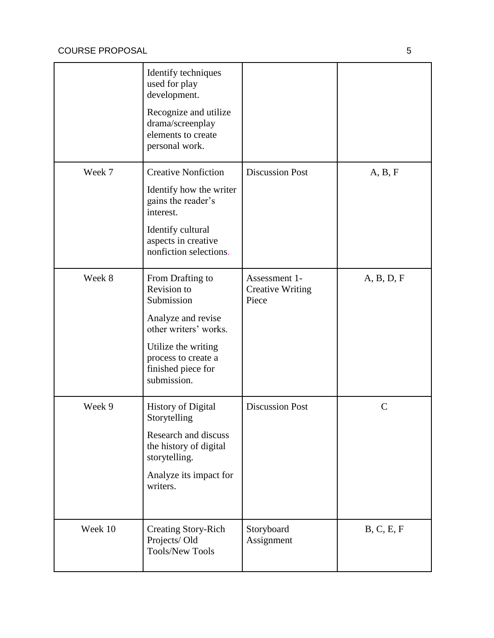|         | Identify techniques<br>used for play<br>development.<br>Recognize and utilize<br>drama/screenplay<br>elements to create<br>personal work.                                       |                                                   |               |
|---------|---------------------------------------------------------------------------------------------------------------------------------------------------------------------------------|---------------------------------------------------|---------------|
| Week 7  | <b>Creative Nonfiction</b><br>Identify how the writer<br>gains the reader's<br>interest.<br>Identify cultural<br>aspects in creative<br>nonfiction selections.                  | <b>Discussion Post</b>                            | A, B, F       |
| Week 8  | From Drafting to<br>Revision to<br>Submission<br>Analyze and revise<br>other writers' works.<br>Utilize the writing<br>process to create a<br>finished piece for<br>submission. | Assessment 1-<br><b>Creative Writing</b><br>Piece | A, B, D, F    |
| Week 9  | <b>History of Digital</b><br>Storytelling<br>Research and discuss<br>the history of digital<br>storytelling.<br>Analyze its impact for<br>writers.                              | <b>Discussion Post</b>                            | $\mathcal{C}$ |
| Week 10 | <b>Creating Story-Rich</b><br>Projects/Old<br><b>Tools/New Tools</b>                                                                                                            | Storyboard<br>Assignment                          | B, C, E, F    |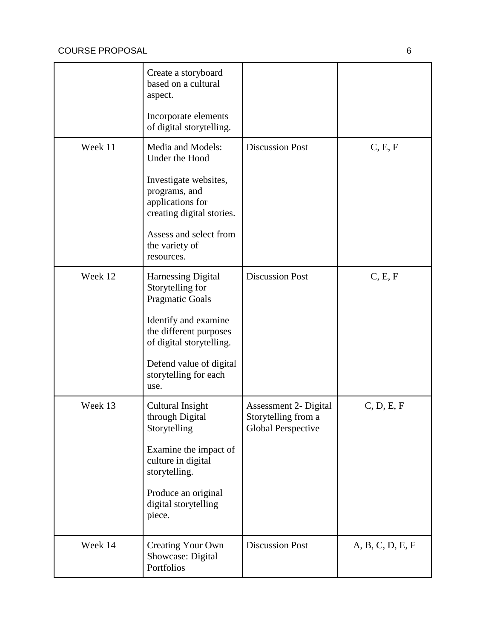|         | Create a storyboard<br>based on a cultural<br>aspect.<br>Incorporate elements<br>of digital storytelling.                                                                                                         |                                                                    |                  |
|---------|-------------------------------------------------------------------------------------------------------------------------------------------------------------------------------------------------------------------|--------------------------------------------------------------------|------------------|
| Week 11 | Media and Models:<br>Under the Hood<br>Investigate websites,<br>programs, and<br>applications for<br>creating digital stories.<br>Assess and select from<br>the variety of<br>resources.                          | <b>Discussion Post</b>                                             | C, E, F          |
| Week 12 | <b>Harnessing Digital</b><br>Storytelling for<br><b>Pragmatic Goals</b><br>Identify and examine<br>the different purposes<br>of digital storytelling.<br>Defend value of digital<br>storytelling for each<br>use. | <b>Discussion Post</b>                                             | C, E, F          |
| Week 13 | Cultural Insight<br>through Digital<br>Storytelling<br>Examine the impact of<br>culture in digital<br>storytelling.<br>Produce an original<br>digital storytelling<br>piece.                                      | Assessment 2- Digital<br>Storytelling from a<br>Global Perspective | C, D, E, F       |
| Week 14 | <b>Creating Your Own</b><br>Showcase: Digital<br>Portfolios                                                                                                                                                       | <b>Discussion Post</b>                                             | A, B, C, D, E, F |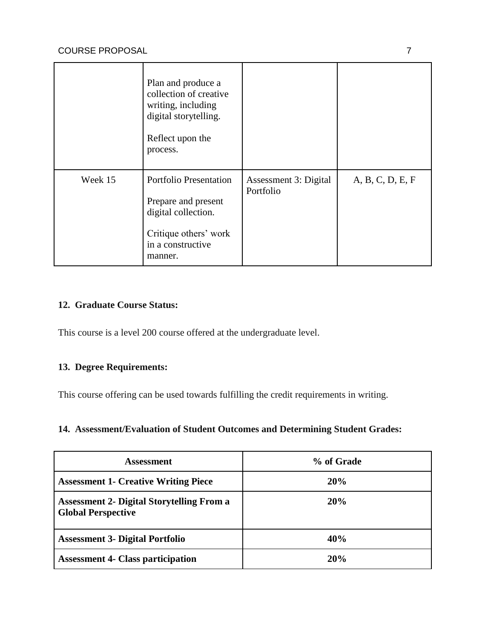|         | Plan and produce a<br>collection of creative<br>writing, including<br>digital storytelling.<br>Reflect upon the<br>process.          |                                    |                  |
|---------|--------------------------------------------------------------------------------------------------------------------------------------|------------------------------------|------------------|
| Week 15 | <b>Portfolio Presentation</b><br>Prepare and present<br>digital collection.<br>Critique others' work<br>in a constructive<br>manner. | Assessment 3: Digital<br>Portfolio | A, B, C, D, E, F |

### **12. Graduate Course Status:**

This course is a level 200 course offered at the undergraduate level.

# **13. Degree Requirements:**

This course offering can be used towards fulfilling the credit requirements in writing.

## **14. Assessment/Evaluation of Student Outcomes and Determining Student Grades:**

| <b>Assessment</b>                                                             | % of Grade |
|-------------------------------------------------------------------------------|------------|
| <b>Assessment 1- Creative Writing Piece</b>                                   | 20%        |
| <b>Assessment 2- Digital Storytelling From a</b><br><b>Global Perspective</b> | <b>20%</b> |
| <b>Assessment 3- Digital Portfolio</b>                                        | 40%        |
| <b>Assessment 4- Class participation</b>                                      | 20%        |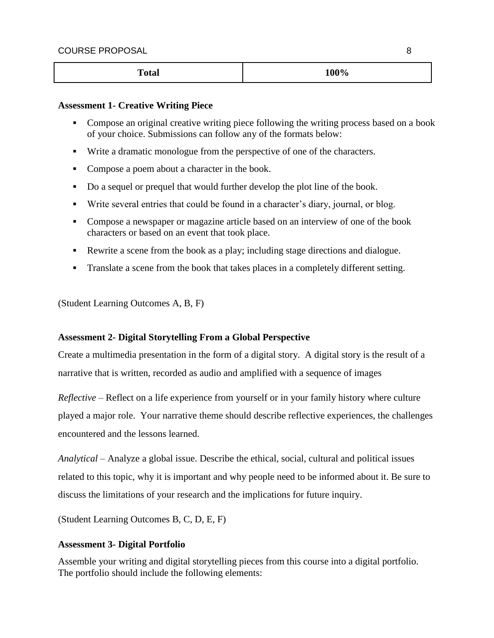| <b>Total</b> | 100% |
|--------------|------|
|--------------|------|

#### **Assessment 1- Creative Writing Piece**

- Compose an original creative writing piece following the writing process based on a book of your choice. Submissions can follow any of the formats below:
- Write a dramatic monologue from the perspective of one of the characters.
- Compose a poem about a character in the book.
- Do a sequel or prequel that would further develop the plot line of the book.
- Write several entries that could be found in a character's diary, journal, or blog.
- Compose a newspaper or magazine article based on an interview of one of the book characters or based on an event that took place.
- Rewrite a scene from the book as a play; including stage directions and dialogue.
- Translate a scene from the book that takes places in a completely different setting.

(Student Learning Outcomes A, B, F)

### **Assessment 2- Digital Storytelling From a Global Perspective**

Create a multimedia presentation in the form of a digital story. A digital story is the result of a narrative that is written, recorded as audio and amplified with a sequence of images

*Reflective* – Reflect on a life experience from yourself or in your family history where culture played a major role. Your narrative theme should describe reflective experiences, the challenges encountered and the lessons learned.

*Analytical* – Analyze a global issue. Describe the ethical, social, cultural and political issues related to this topic, why it is important and why people need to be informed about it. Be sure to discuss the limitations of your research and the implications for future inquiry.

(Student Learning Outcomes B, C, D, E, F)

### **Assessment 3- Digital Portfolio**

Assemble your writing and digital storytelling pieces from this course into a digital portfolio. The portfolio should include the following elements: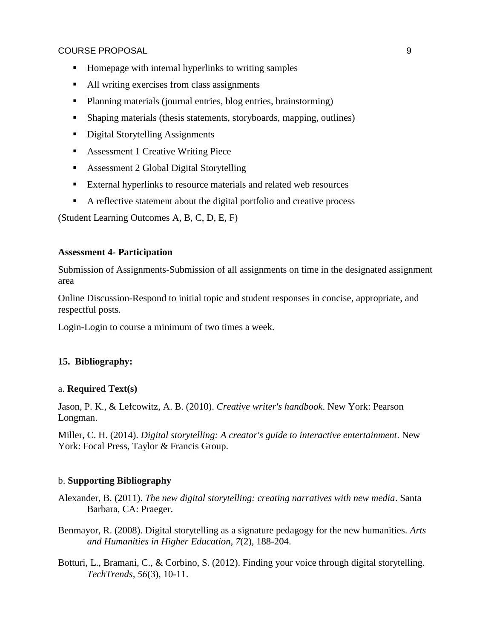#### COURSE PROPOSAL 9

- Homepage with internal hyperlinks to writing samples
- All writing exercises from class assignments
- Planning materials (journal entries, blog entries, brainstorming)
- Shaping materials (thesis statements, storyboards, mapping, outlines)
- Digital Storytelling Assignments
- Assessment 1 Creative Writing Piece
- **Assessment 2 Global Digital Storytelling**
- External hyperlinks to resource materials and related web resources
- A reflective statement about the digital portfolio and creative process

(Student Learning Outcomes A, B, C, D, E, F)

#### **Assessment 4- Participation**

Submission of Assignments-Submission of all assignments on time in the designated assignment area

Online Discussion-Respond to initial topic and student responses in concise, appropriate, and respectful posts.

Login-Login to course a minimum of two times a week.

### **15. Bibliography:**

### a. **Required Text(s)**

Jason, P. K., & Lefcowitz, A. B. (2010). *Creative writer's handbook*. New York: Pearson Longman.

Miller, C. H. (2014). *Digital storytelling: A creator's guide to interactive entertainment*. New York: Focal Press, Taylor & Francis Group.

### b. **Supporting Bibliography**

Alexander, B. (2011). *The new digital storytelling: creating narratives with new media*. Santa Barbara, CA: Praeger.

- Benmayor, R. (2008). Digital storytelling as a signature pedagogy for the new humanities. *Arts and Humanities in Higher Education, 7*(2), 188-204.
- Botturi, L., Bramani, C., & Corbino, S. (2012). Finding your voice through digital storytelling. *TechTrends, 56*(3), 10-11.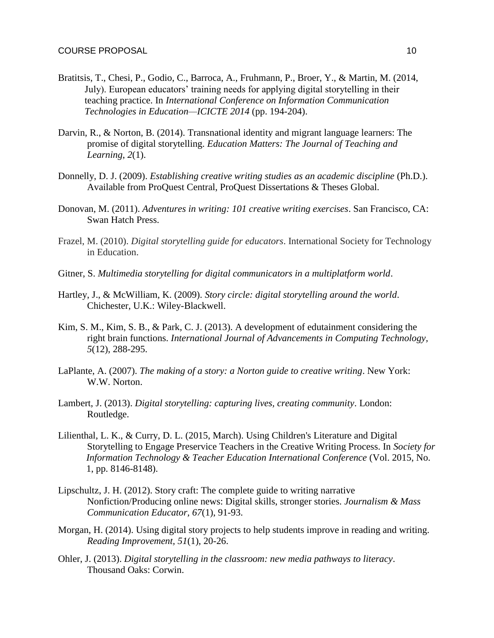- Bratitsis, T., Chesi, P., Godio, C., Barroca, A., Fruhmann, P., Broer, Y., & Martin, M. (2014, July). European educators' training needs for applying digital storytelling in their teaching practice. In *International Conference on Information Communication Technologies in Education—ICICTE 2014* (pp. 194-204).
- Darvin, R., & Norton, B. (2014). Transnational identity and migrant language learners: The promise of digital storytelling. *Education Matters: The Journal of Teaching and Learning*, *2*(1).
- Donnelly, D. J. (2009). *Establishing creative writing studies as an academic discipline* (Ph.D.). Available from ProQuest Central, ProQuest Dissertations & Theses Global.
- Donovan, M. (2011). *Adventures in writing: 101 creative writing exercises*. San Francisco, CA: Swan Hatch Press.
- Frazel, M. (2010). *Digital storytelling guide for educators*. International Society for Technology in Education.
- Gitner, S. *Multimedia storytelling for digital communicators in a multiplatform world*.
- Hartley, J., & McWilliam, K. (2009). *Story circle: digital storytelling around the world*. Chichester, U.K.: Wiley-Blackwell.
- Kim, S. M., Kim, S. B., & Park, C. J. (2013). A development of edutainment considering the right brain functions. *International Journal of Advancements in Computing Technology, 5*(12), 288-295.
- LaPlante, A. (2007). *The making of a story: a Norton guide to creative writing*. New York: W.W. Norton.
- Lambert, J. (2013). *Digital storytelling: capturing lives, creating community*. London: Routledge.
- Lilienthal, L. K., & Curry, D. L. (2015, March). Using Children's Literature and Digital Storytelling to Engage Preservice Teachers in the Creative Writing Process. In *Society for Information Technology & Teacher Education International Conference* (Vol. 2015, No. 1, pp. 8146-8148).
- Lipschultz, J. H. (2012). Story craft: The complete guide to writing narrative Nonfiction/Producing online news: Digital skills, stronger stories. *Journalism & Mass Communication Educator, 67*(1), 91-93.
- Morgan, H. (2014). Using digital story projects to help students improve in reading and writing. *Reading Improvement, 51*(1), 20-26.
- Ohler, J. (2013). *Digital storytelling in the classroom: new media pathways to literacy*. Thousand Oaks: Corwin.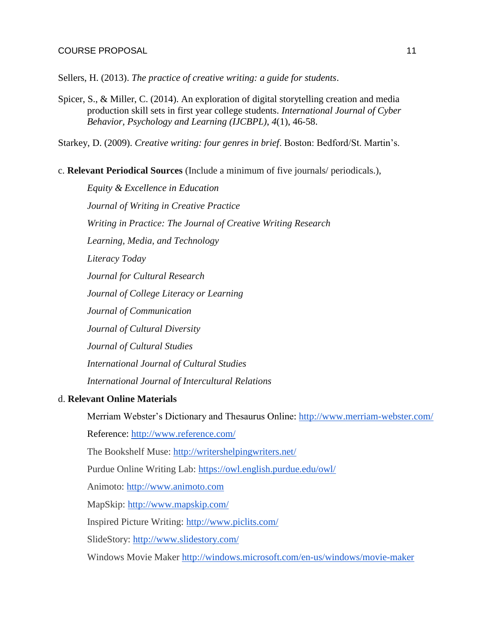Sellers, H. (2013). *The practice of creative writing: a guide for students*.

Spicer, S., & Miller, C. (2014). An exploration of digital storytelling creation and media production skill sets in first year college students. *International Journal of Cyber Behavior, Psychology and Learning (IJCBPL)*, *4*(1), 46-58.

Starkey, D. (2009). *Creative writing: four genres in brief*. Boston: Bedford/St. Martin's.

c. **Relevant Periodical Sources** (Include a minimum of five journals/ periodicals.),

*Equity & Excellence in Education Journal of Writing in Creative Practice Writing in Practice: The Journal of Creative Writing Research Learning, Media, and Technology Literacy Today Journal for Cultural Research Journal of College Literacy or Learning Journal of Communication Journal of Cultural Diversity Journal of Cultural Studies International Journal of Cultural Studies International Journal of Intercultural Relations*

### d. **Relevant Online Materials**

[Merriam Webster's Dictionary and Thesaurus Online: http://www.merriam-webster.com/](http://www.merriam-webster.com/)

[Reference:](http://www.reference.com/) <http://www.reference.com/>

The Bookshelf Muse:<http://writershelpingwriters.net/>

Purdue Online Writing Lab:<https://owl.english.purdue.edu/owl/>

Animoto: [http://www.animoto.com](http://www.animoto.com/)

MapSkip:<http://www.mapskip.com/>

Inspired Picture Writing:<http://www.piclits.com/>

SlideStory:<http://www.slidestory.com/>

Windows Movie Maker<http://windows.microsoft.com/en-us/windows/movie-maker>